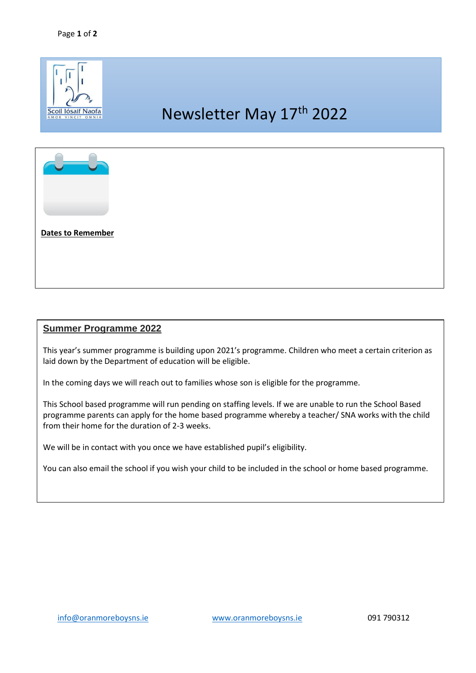

## **Summer Programme 2022**

This year's summer programme is building upon 2021's programme. Children who meet a certain criterion as laid down by the Department of education will be eligible.

In the coming days we will reach out to families whose son is eligible for the programme.

This School based programme will run pending on staffing levels. If we are unable to run the School Based programme parents can apply for the home based programme whereby a teacher/ SNA works with the child from their home for the duration of 2-3 weeks.

We will be in contact with you once we have established pupil's eligibility.

You can also email the school if you wish your child to be included in the school or home based programme.